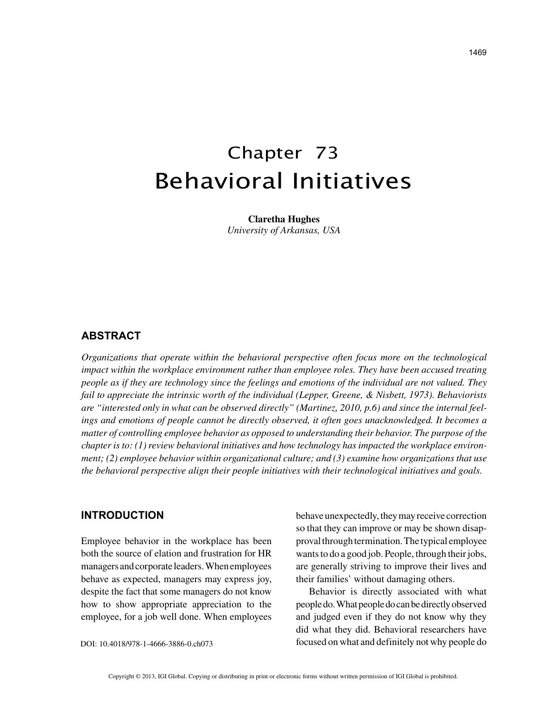# Chapter 73 Behavioral Initiatives

**Claretha Hughes** *University of Arkansas, USA*

## **ABSTRACT**

*Organizations that operate within the behavioral perspective often focus more on the technological impact within the workplace environment rather than employee roles. They have been accused treating people as if they are technology since the feelings and emotions of the individual are not valued. They fail to appreciate the intrinsic worth of the individual (Lepper, Greene, & Nisbett, 1973). Behaviorists are "interested only in what can be observed directly" (Martinez, 2010, p.6) and since the internal feelings and emotions of people cannot be directly observed, it often goes unacknowledged. It becomes a matter of controlling employee behavior as opposed to understanding their behavior. The purpose of the chapter is to: (1) review behavioral initiatives and how technology has impacted the workplace environment; (2) employee behavior within organizational culture; and (3) examine how organizations that use the behavioral perspective align their people initiatives with their technological initiatives and goals.*

## **INTRODUCTION**

Employee behavior in the workplace has been both the source of elation and frustration for HR managers and corporate leaders. When employees behave as expected, managers may express joy, despite the fact that some managers do not know how to show appropriate appreciation to the employee, for a job well done. When employees behave unexpectedly, they may receive correction so that they can improve or may be shown disapproval through termination. The typical employee wants to do a good job. People, through their jobs, are generally striving to improve their lives and their families' without damaging others.

Behavior is directly associated with what people do. What people do can be directly observed and judged even if they do not know why they did what they did. Behavioral researchers have focused on what and definitely not why people do

DOI: 10.4018/978-1-4666-3886-0.ch073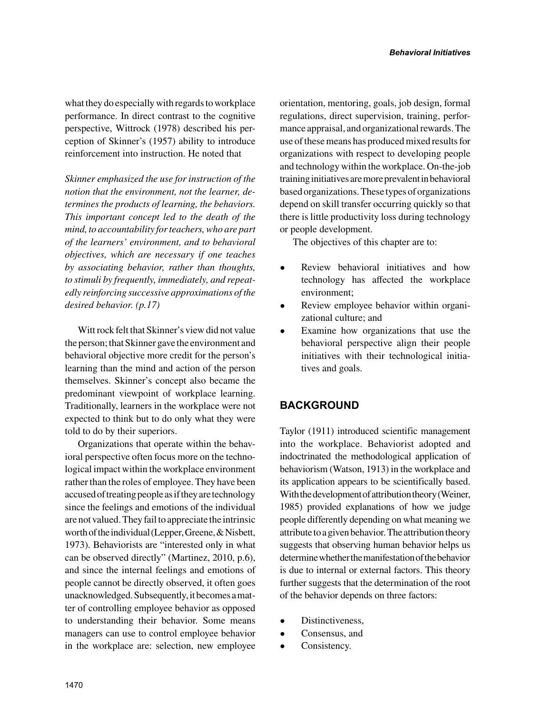what they do especially with regards to workplace performance. In direct contrast to the cognitive perspective, Wittrock (1978) described his perception of Skinner's (1957) ability to introduce reinforcement into instruction. He noted that

*Skinner emphasized the use for instruction of the notion that the environment, not the learner, determines the products of learning, the behaviors. This important concept led to the death of the mind, to accountability for teachers, who are part of the learners' environment, and to behavioral objectives, which are necessary if one teaches by associating behavior, rather than thoughts, to stimuli by frequently, immediately, and repeatedly reinforcing successive approximations of the desired behavior. (p.17)* 

Witt rock felt that Skinner's view did not value the person; that Skinner gave the environment and behavioral objective more credit for the person's learning than the mind and action of the person themselves. Skinner's concept also became the predominant viewpoint of workplace learning. Traditionally, learners in the workplace were not expected to think but to do only what they were told to do by their superiors.

Organizations that operate within the behavioral perspective often focus more on the technological impact within the workplace environment rather than the roles of employee. They have been accused of treating people as if they are technology since the feelings and emotions of the individual are not valued. They fail to appreciate the intrinsic worth of the individual (Lepper, Greene, & Nisbett, 1973). Behaviorists are "interested only in what can be observed directly" (Martinez, 2010, p.6), and since the internal feelings and emotions of people cannot be directly observed, it often goes unacknowledged. Subsequently, it becomes a matter of controlling employee behavior as opposed to understanding their behavior. Some means managers can use to control employee behavior in the workplace are: selection, new employee orientation, mentoring, goals, job design, formal regulations, direct supervision, training, performance appraisal, and organizational rewards. The use of these means has produced mixed results for organizations with respect to developing people and technology within the workplace. On-the-job training initiatives are more prevalent in behavioral based organizations. These types of organizations depend on skill transfer occurring quickly so that there is little productivity loss during technology or people development.

The objectives of this chapter are to:

- Review behavioral initiatives and how technology has affected the workplace environment;
- Review employee behavior within organizational culture; and
- Examine how organizations that use the behavioral perspective align their people initiatives with their technological initiatives and goals.

# **BACKGROUND**

Taylor (1911) introduced scientific management into the workplace. Behaviorist adopted and indoctrinated the methodological application of behaviorism (Watson, 1913) in the workplace and its application appears to be scientifically based. With the development of attribution theory (Weiner, 1985) provided explanations of how we judge people differently depending on what meaning we attribute to a given behavior. The attribution theory suggests that observing human behavior helps us determine whether the manifestation of the behavior is due to internal or external factors. This theory further suggests that the determination of the root of the behavior depends on three factors:

- Distinctiveness,
- Consensus, and
- Consistency.